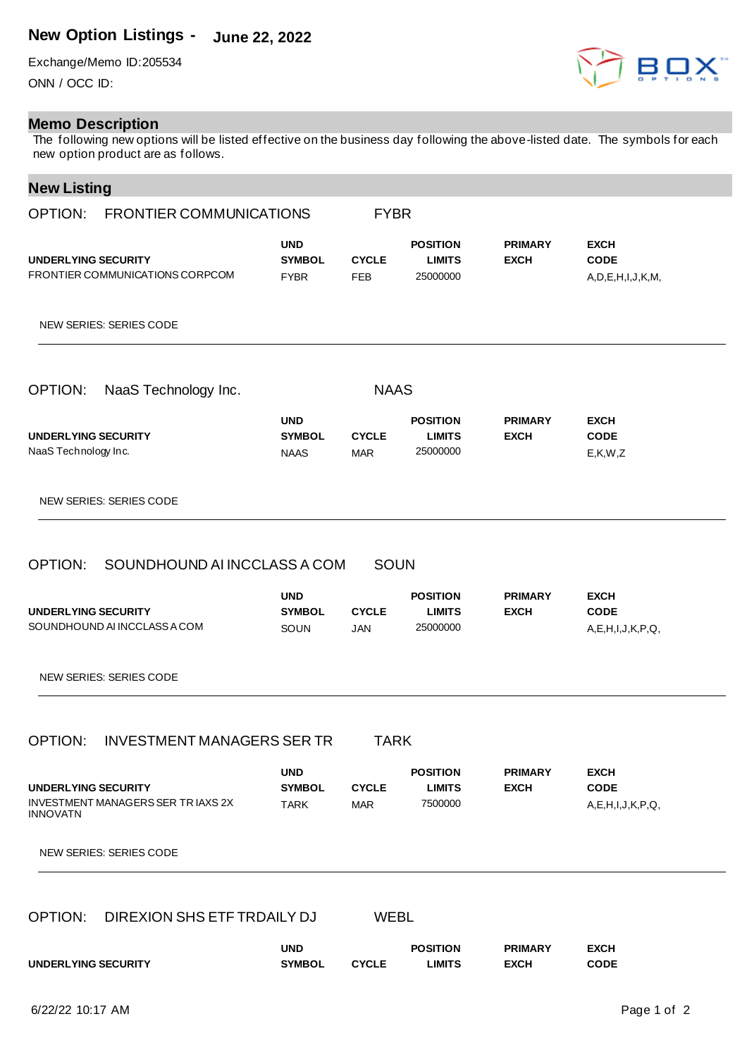## **New Option Listings - June 22, 2022**

Exchange/Memo ID:205534 ONN / OCC ID:

## **Memo Description**

The following new options will be listed effective on the business day following the above-listed date. The symbols for each new option product are as follows.

## **New Listing**

| $\cdots$<br>-------<br>OPTION: FRONTIER COMMUNICATIONS<br><b>FYBR</b>                              |                                            |                                           |                                              |                               |                                                       |  |
|----------------------------------------------------------------------------------------------------|--------------------------------------------|-------------------------------------------|----------------------------------------------|-------------------------------|-------------------------------------------------------|--|
| <b>UNDERLYING SECURITY</b><br>FRONTIER COMMUNICATIONS CORPCOM                                      | <b>UND</b><br><b>SYMBOL</b><br><b>FYBR</b> | <b>CYCLE</b><br><b>FEB</b>                | <b>POSITION</b><br><b>LIMITS</b><br>25000000 | <b>PRIMARY</b><br><b>EXCH</b> | <b>EXCH</b><br><b>CODE</b><br>A, D, E, H, I, J, K, M, |  |
| NEW SERIES: SERIES CODE                                                                            |                                            |                                           |                                              |                               |                                                       |  |
| <b>OPTION:</b><br>NaaS Technology Inc.                                                             |                                            | <b>NAAS</b>                               |                                              |                               |                                                       |  |
| <b>UNDERLYING SECURITY</b><br>NaaS Technology Inc.                                                 | <b>UND</b><br><b>SYMBOL</b><br><b>NAAS</b> | <b>CYCLE</b><br><b>MAR</b>                | <b>POSITION</b><br><b>LIMITS</b><br>25000000 | <b>PRIMARY</b><br><b>EXCH</b> | <b>EXCH</b><br><b>CODE</b><br>E, K, W, Z              |  |
| NEW SERIES: SERIES CODE                                                                            |                                            |                                           |                                              |                               |                                                       |  |
| OPTION: SOUNDHOUND AI INCCLASS A COM<br><b>UNDERLYING SECURITY</b><br>SOUNDHOUND AI INCCLASS A COM | <b>UND</b><br><b>SYMBOL</b><br>SOUN        | <b>SOUN</b><br><b>CYCLE</b><br><b>JAN</b> | <b>POSITION</b><br><b>LIMITS</b><br>25000000 | <b>PRIMARY</b><br><b>EXCH</b> | <b>EXCH</b><br><b>CODE</b><br>A,E,H,I,J,K,P,Q,        |  |
| <b>NEW SERIES: SERIES CODE</b>                                                                     |                                            |                                           |                                              |                               |                                                       |  |
| <b>INVESTMENT MANAGERS SER TR</b><br>OPTION:                                                       |                                            | <b>TARK</b>                               |                                              |                               |                                                       |  |
| UNDERLYING SECURITY<br><b>INVESTMENT MANAGERS SER TRIAXS 2X</b><br><b>INNOVATN</b>                 | <b>UND</b><br><b>SYMBOL</b><br><b>TARK</b> | <b>CYCLE</b><br><b>MAR</b>                | <b>POSITION</b><br><b>LIMITS</b><br>7500000  | <b>PRIMARY</b><br><b>EXCH</b> | <b>EXCH</b><br><b>CODE</b><br>A, E, H, I, J, K, P, Q, |  |
| <b>NEW SERIES: SERIES CODE</b>                                                                     |                                            |                                           |                                              |                               |                                                       |  |
| OPTION:<br>DIREXION SHS ETF TRDAILY DJ<br><b>WEBL</b>                                              |                                            |                                           |                                              |                               |                                                       |  |
| UNDERLYING SECURITY                                                                                | <b>UND</b><br><b>SYMBOL</b>                | <b>CYCLE</b>                              | <b>POSITION</b><br><b>LIMITS</b>             | <b>PRIMARY</b><br><b>EXCH</b> | <b>EXCH</b><br><b>CODE</b>                            |  |